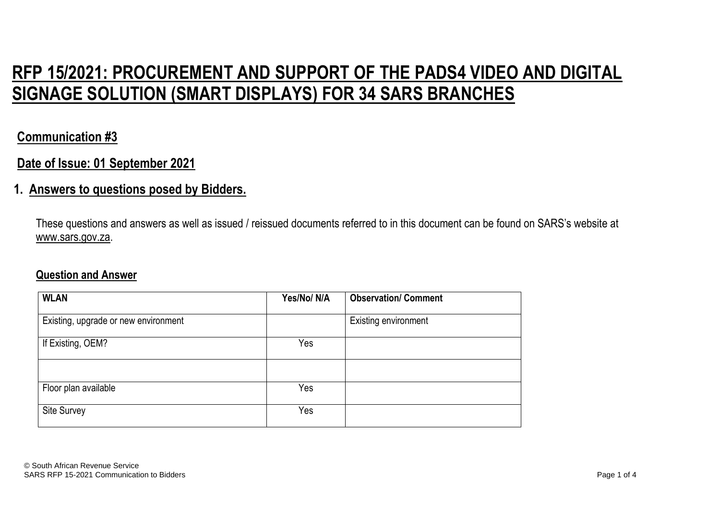# **RFP 15/2021: PROCUREMENT AND SUPPORT OF THE PADS4 VIDEO AND DIGITAL SIGNAGE SOLUTION (SMART DISPLAYS) FOR 34 SARS BRANCHES**

## **Communication #3**

### **Date of Issue: 01 September 2021**

#### **1. Answers to questions posed by Bidders.**

These questions and answers as well as issued / reissued documents referred to in this document can be found on SARS's website at www.sars.gov.za.

#### **Question and Answer**

| <b>WLAN</b>                          | Yes/No/N/A | <b>Observation/ Comment</b> |
|--------------------------------------|------------|-----------------------------|
| Existing, upgrade or new environment |            | <b>Existing environment</b> |
| If Existing, OEM?                    | Yes        |                             |
|                                      |            |                             |
| Floor plan available                 | Yes        |                             |
| <b>Site Survey</b>                   | Yes        |                             |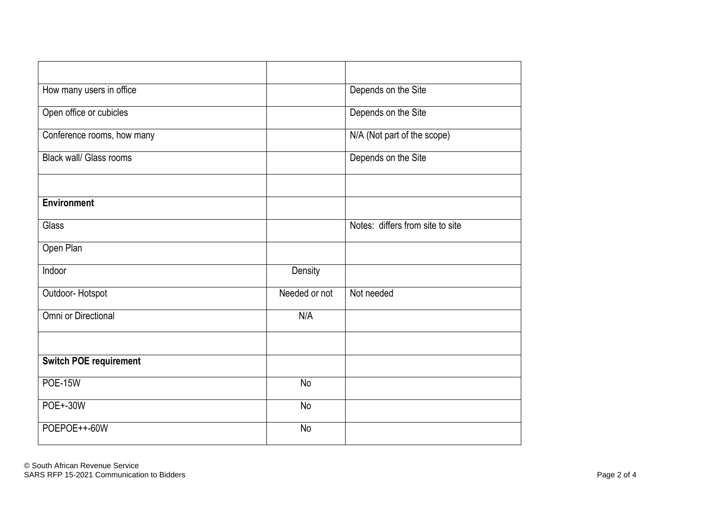| How many users in office       |               | Depends on the Site              |
|--------------------------------|---------------|----------------------------------|
| Open office or cubicles        |               | Depends on the Site              |
| Conference rooms, how many     |               | N/A (Not part of the scope)      |
| <b>Black wall/ Glass rooms</b> |               | Depends on the Site              |
|                                |               |                                  |
| <b>Environment</b>             |               |                                  |
| Glass                          |               | Notes: differs from site to site |
| Open Plan                      |               |                                  |
| Indoor                         | Density       |                                  |
| Outdoor-Hotspot                | Needed or not | Not needed                       |
| Omni or Directional            | N/A           |                                  |
|                                |               |                                  |
| <b>Switch POE requirement</b>  |               |                                  |
| <b>POE-15W</b>                 | <b>No</b>     |                                  |
| <b>POE+-30W</b>                | No            |                                  |
| POEPOE++-60W                   | No            |                                  |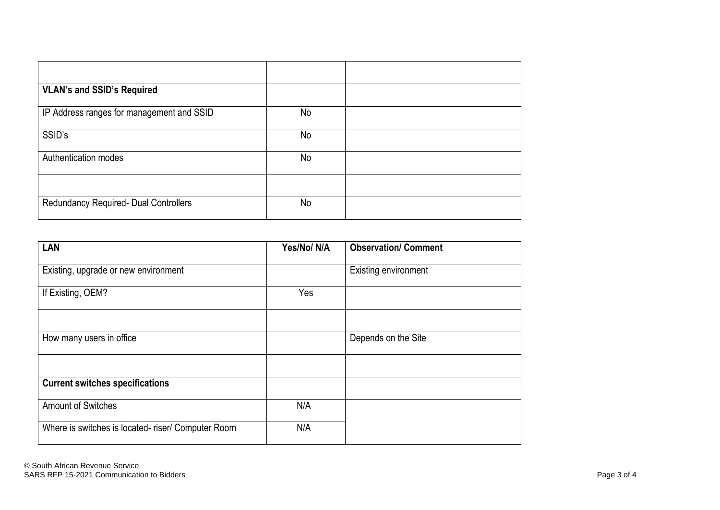| <b>VLAN's and SSID's Required</b>         |    |  |
|-------------------------------------------|----|--|
| IP Address ranges for management and SSID | No |  |
| SSID's                                    | No |  |
| Authentication modes                      | No |  |
|                                           |    |  |
| Redundancy Required- Dual Controllers     | No |  |

| LAN                                               | Yes/No/N/A | <b>Observation/ Comment</b> |
|---------------------------------------------------|------------|-----------------------------|
| Existing, upgrade or new environment              |            | <b>Existing environment</b> |
| If Existing, OEM?                                 | Yes        |                             |
|                                                   |            |                             |
| How many users in office                          |            | Depends on the Site         |
|                                                   |            |                             |
| <b>Current switches specifications</b>            |            |                             |
| <b>Amount of Switches</b>                         | N/A        |                             |
| Where is switches is located-riser/ Computer Room | N/A        |                             |